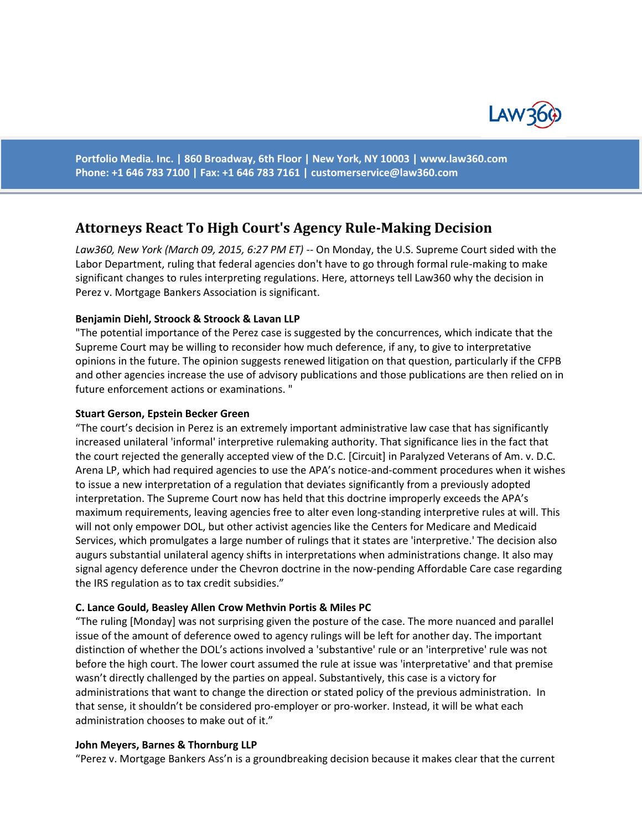

**Portfolio Media. Inc. | 860 Broadway, 6th Floor | New York, NY 10003 | www.law360.com Phone: +1 646 783 7100 | Fax: +1 646 783 7161 | [customerservice@law360.com](mailto:customerservice@law360.com)**

# **Attorneys React To High Court's Agency Rule-Making Decision**

Law360, New York (March 09, 2015, 6:27 PM ET) -- On Monday, the U.S. Supreme Court sided with the Labor Department, ruling that federal agencies don't have to go through formal rule-making to make significant changes to rules interpreting regulations. Here, attorneys tell Law360 why the decision in Perez v. Mortgage Bankers Association is significant.

## **Benjamin Diehl, Stroock & Stroock & Lavan LLP**

"The potential importance of the Perez case is suggested by the concurrences, which indicate that the Supreme Court may be willing to reconsider how much deference, if any, to give to interpretative opinions in the future. The opinion suggests renewed litigation on that question, particularly if the CFPB and other agencies increase the use of advisory publications and those publications are then relied on in future enforcement actions or examinations. "

#### **Stuart Gerson, Epstein Becker Green**

"The court's decision in Perez is an extremely important administrative law case that has significantly increased unilateral 'informal' interpretive rulemaking authority. That significance lies in the fact that the court rejected the generally accepted view of the D.C. [Circuit] in Paralyzed Veterans of Am. v. D.C. Arena LP, which had required agencies to use the APA's notice-and-comment procedures when it wishes to issue a new interpretation of a regulation that deviates significantly from a previously adopted interpretation. The Supreme Court now has held that this doctrine improperly exceeds the APA's maximum requirements, leaving agencies free to alter even long-standing interpretive rules at will. This will not only empower DOL, but other activist agencies like the Centers for Medicare and Medicaid Services, which promulgates a large number of rulings that it states are 'interpretive.' The decision also augurs substantial unilateral agency shifts in interpretations when administrations change. It also may signal agency deference under the Chevron doctrine in the now-pending Affordable Care case regarding the IRS regulation as to tax credit subsidies."

## **C. Lance Gould, Beasley Allen Crow Methvin Portis & Miles PC**

"The ruling [Monday] was not surprising given the posture of the case. The more nuanced and parallel issue of the amount of deference owed to agency rulings will be left for another day. The important distinction of whether the DOL's actions involved a 'substantive' rule or an 'interpretive' rule was not before the high court. The lower court assumed the rule at issue was 'interpretative' and that premise wasn't directly challenged by the parties on appeal. Substantively, this case is a victory for administrations that want to change the direction or stated policy of the previous administration. In that sense, it shouldn't be considered pro-employer or pro-worker. Instead, it will be what each administration chooses to make out of it."

## **John Meyers, Barnes & Thornburg LLP**

"Perez v. Mortgage Bankers Ass'n is a groundbreaking decision because it makes clear that the current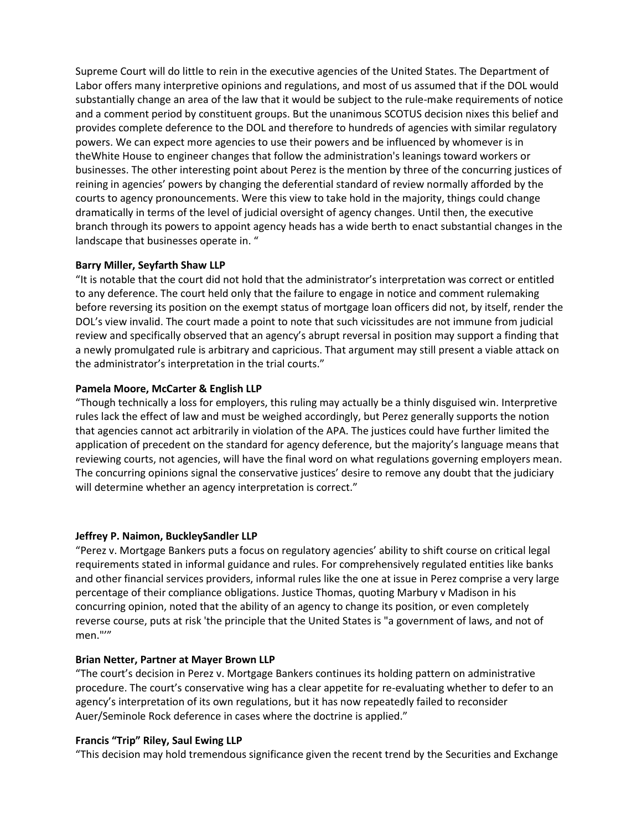Supreme Court will do little to rein in the executive agencies of the United States. The Department of Labor offers many interpretive opinions and regulations, and most of us assumed that if the DOL would substantially change an area of the law that it would be subject to the rule-make requirements of notice and a comment period by constituent groups. But the unanimous SCOTUS decision nixes this belief and provides complete deference to the DOL and therefore to hundreds of agencies with similar regulatory powers. We can expect more agencies to use their powers and be influenced by whomever is in theWhite House to engineer changes that follow the administration's leanings toward workers or businesses. The other interesting point about Perez is the mention by three of the concurring justices of reining in agencies' powers by changing the deferential standard of review normally afforded by the courts to agency pronouncements. Were this view to take hold in the majority, things could change dramatically in terms of the level of judicial oversight of agency changes. Until then, the executive branch through its powers to appoint agency heads has a wide berth to enact substantial changes in the landscape that businesses operate in. "

## **Barry Miller, Seyfarth Shaw LLP**

"It is notable that the court did not hold that the administrator's interpretation was correct or entitled to any deference. The court held only that the failure to engage in notice and comment rulemaking before reversing its position on the exempt status of mortgage loan officers did not, by itself, render the DOL's view invalid. The court made a point to note that such vicissitudes are not immune from judicial review and specifically observed that an agency's abrupt reversal in position may support a finding that a newly promulgated rule is arbitrary and capricious. That argument may still present a viable attack on the administrator's interpretation in the trial courts."

## **Pamela Moore, McCarter & English LLP**

"Though technically a loss for employers, this ruling may actually be a thinly disguised win. Interpretive rules lack the effect of law and must be weighed accordingly, but Perez generally supports the notion that agencies cannot act arbitrarily in violation of the APA. The justices could have further limited the application of precedent on the standard for agency deference, but the majority's language means that reviewing courts, not agencies, will have the final word on what regulations governing employers mean. The concurring opinions signal the conservative justices' desire to remove any doubt that the judiciary will determine whether an agency interpretation is correct."

## **Jeffrey P. Naimon, BuckleySandler LLP**

"Perez v. Mortgage Bankers puts a focus on regulatory agencies' ability to shift course on critical legal requirements stated in informal guidance and rules. For comprehensively regulated entities like banks and other financial services providers, informal rules like the one at issue in Perez comprise a very large percentage of their compliance obligations. Justice Thomas, quoting Marbury v Madison in his concurring opinion, noted that the ability of an agency to change its position, or even completely reverse course, puts at risk 'the principle that the United States is "a government of laws, and not of men.""

## **Brian Netter, Partner at Mayer Brown LLP**

"The court's decision in Perez v. Mortgage Bankers continues its holding pattern on administrative procedure. The court's conservative wing has a clear appetite for re-evaluating whether to defer to an agency's interpretation of its own regulations, but it has now repeatedly failed to reconsider Auer/Seminole Rock deference in cases where the doctrine is applied."

## **Francis "Trip" Riley, Saul Ewing LLP**

"This decision may hold tremendous significance given the recent trend by the Securities and Exchange